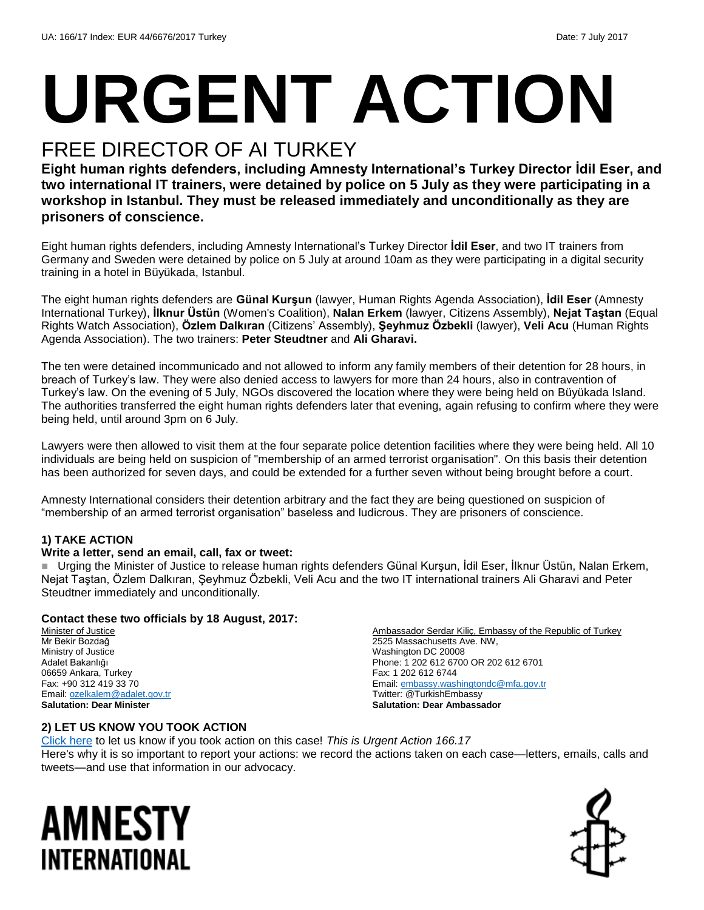# **URGENT ACTION**

## FREE DIRECTOR OF AI TURKEY

**Eight human rights defenders, including Amnesty International's Turkey Director İdil Eser, and two international IT trainers, were detained by police on 5 July as they were participating in a workshop in Istanbul. They must be released immediately and unconditionally as they are prisoners of conscience.**

Eight human rights defenders, including Amnesty International's Turkey Director **İdil Eser**, and two IT trainers from Germany and Sweden were detained by police on 5 July at around 10am as they were participating in a digital security training in a hotel in Büyükada, Istanbul.

The eight human rights defenders are **Günal Kurşun** (lawyer, Human Rights Agenda Association), **İdil Eser** (Amnesty International Turkey), **İlknur Üstün** (Women's Coalition), **Nalan Erkem** (lawyer, Citizens Assembly), **Nejat Taştan** (Equal Rights Watch Association), **Özlem Dalkıran** (Citizens' Assembly), **Şeyhmuz Özbekli** (lawyer), **Veli Acu** (Human Rights Agenda Association). The two trainers: **Peter Steudtner** and **Ali Gharavi.**

The ten were detained incommunicado and not allowed to inform any family members of their detention for 28 hours, in breach of Turkey's law. They were also denied access to lawyers for more than 24 hours, also in contravention of Turkey's law. On the evening of 5 July, NGOs discovered the location where they were being held on Büyükada Island. The authorities transferred the eight human rights defenders later that evening, again refusing to confirm where they were being held, until around 3pm on 6 July.

Lawyers were then allowed to visit them at the four separate police detention facilities where they were being held. All 10 individuals are being held on suspicion of "membership of an armed terrorist organisation". On this basis their detention has been authorized for seven days, and could be extended for a further seven without being brought before a court.

Amnesty International considers their detention arbitrary and the fact they are being questioned on suspicion of "membership of an armed terrorist organisation" baseless and ludicrous. They are prisoners of conscience.

#### **1) TAKE ACTION**

#### **Write a letter, send an email, call, fax or tweet:**

■ Urging the Minister of Justice to release human rights defenders Günal Kurşun, İdil Eser, İlknur Üstün, Nalan Erkem, Nejat Taştan, Özlem Dalkıran, Şeyhmuz Özbekli, Veli Acu and the two IT international trainers Ali Gharavi and Peter Steudtner immediately and unconditionally.

#### **Contact these two officials by 18 August, 2017:**

Minister of Justice Mr Bekir Bozdağ Ministry of Justice Adalet Bakanlığı 06659 Ankara, Turkey Fax: +90 312 419 33 70 Email[: ozelkalem@adalet.gov.tr](mailto:ozelkalem@adalet.gov.tr) **Salutation: Dear Minister**

Ambassador Serdar Kiliç, Embassy of the Republic of Turkey 2525 Massachusetts Ave. NW, Washington DC 20008 Phone: 1 202 612 6700 OR 202 612 6701 Fax: 1 202 612 6744 Email[: embassy.washingtondc@mfa.gov.tr](mailto:embassy.washingtondc@mfa.gov.tr) Twitter: @TurkishEmbassy **Salutation: Dear Ambassador**

#### **2) LET US KNOW YOU TOOK ACTION**

[Click here](https://docs.google.com/forms/d/e/1FAIpQLSf3RUspces4lA9Gt7Fp9GiAcojCs6fnfFOTCLli3Su6c3S8ew/viewform) to let us know if you took action on this case! *This is Urgent Action 166.17* Here's why it is so important to report your actions: we record the actions taken on each case—letters, emails, calls and tweets—and use that information in our advocacy.

# AMNESTY INTERNATIONAL